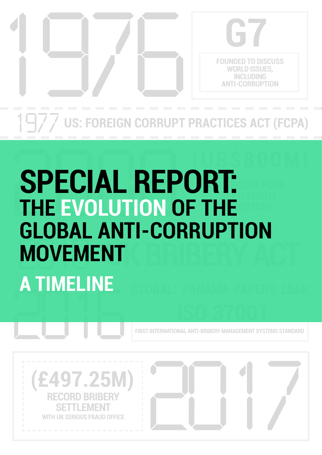

**US: FOREIGN CORRUPT PRACTICES ACT (FCPA)** 

## SPECIAL REP<br>THE EVOLUTION O 2016 **(US\$800M) - LARGEST FCPA SETTLEMENT THE EVOLUTION OF THE STATE MOVEMENT SPECIAL REPORT: GLOBAL ANTI-CORRUPTION MOVEMENT A TIMELINE**

**FIRST INTERNATIONAL ANTI-BRIBERY MANAGEMENT SYSTEMS STANDARD**

**ISO 37001**



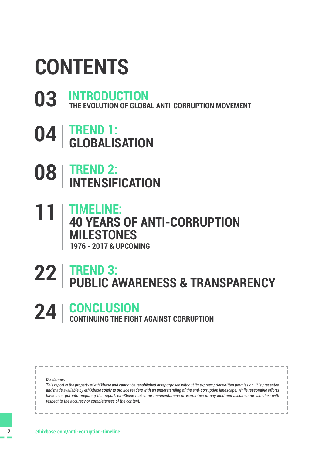## **CONTENTS**

- **[03](#page-2-0) [INTRODUCTION](#page-2-0) [THE EVOLUTION OF GLOBAL ANTI-CORRUPTION MOVEMENT](#page-2-0)**
- **[TREND 1:](#page-3-0) [GLOBALISATION](#page-3-0) [04](#page-3-0)**
- **[TREND 2:](#page-7-0)  [INTENSIFICATION](#page-7-0) [08](#page-7-0)**
- **[TIMELINE:](#page-10-0)  [40 YEARS OF ANTI-CORRUPTION](#page-10-0)  [MILESTONES](#page-10-0) [11](#page-10-0) [1976 - 2017 & UPCOMING](#page-10-0)**

### **[TREND 3:](#page-21-0) [PUBLIC AWARENESS & TRANSPARENCY](#page-21-0) [22](#page-21-0)**

**CONCLUSION [24](#page-23-0) [CONTINUING THE FIGHT AGAINST CORRUPTION](#page-23-0)**

*Disclaimer:* 

*This report is the property of ethiXbase and cannot be republished or repurposed without its express prior written permission. It is presented and made available by ethiXbase solely to provide readers with an understanding of the anti-corruption landscape. While reasonable efforts have been put into preparing this report, ethiXbase makes no representations or warranties of any kind and assumes no liabilities with respect to the accuracy or completeness of the content.*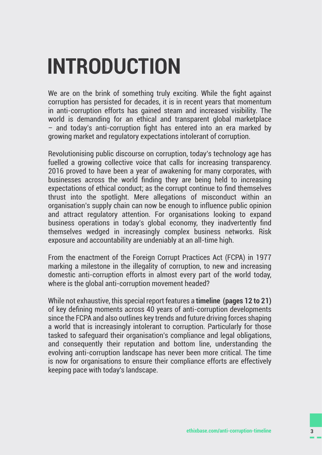## <span id="page-2-0"></span>**INTRODUCTION**

We are on the brink of something truly exciting. While the fight against corruption has persisted for decades, it is in recent years that momentum in anti-corruption efforts has gained steam and increased visibility. The world is demanding for an ethical and transparent global marketplace – and today's anti-corruption fight has entered into an era marked by growing market and regulatory expectations intolerant of corruption.

Revolutionising public discourse on corruption, today's technology age has fuelled a growing collective voice that calls for increasing transparency. 2016 proved to have been a year of awakening for many corporates, with businesses across the world finding they are being held to increasing expectations of ethical conduct; as the corrupt continue to find themselves thrust into the spotlight. Mere allegations of misconduct within an organisation's supply chain can now be enough to influence public opinion and attract regulatory attention. For organisations looking to expand business operations in today's global economy, they inadvertently find themselves wedged in increasingly complex business networks. Risk exposure and accountability are undeniably at an all-time high.

From the enactment of the Foreign Corrupt Practices Act (FCPA) in 1977 marking a milestone in the illegality of corruption, to new and increasing domestic anti-corruption efforts in almost every part of the world today, where is the global anti-corruption movement headed?

While not exhaustive, this special report features a **timeline ([pages 12 to 21\)](#page-11-0)**  of key defining moments across 40 years of anti-corruption developments since the FCPA and also outlines key trends and future driving forces shaping a world that is increasingly intolerant to corruption. Particularly for those tasked to safeguard their organisation's compliance and legal obligations, and consequently their reputation and bottom line, understanding the evolving anti-corruption landscape has never been more critical. The time is now for organisations to ensure their compliance efforts are effectively keeping pace with today's landscape.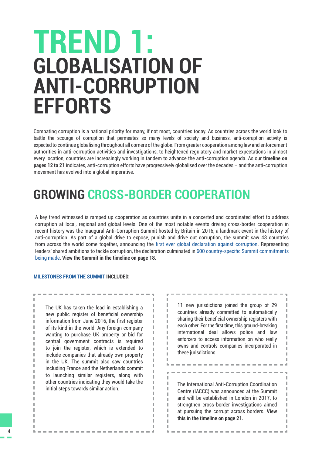## <span id="page-3-0"></span>**GLOBALISATION OF ANTI-CORRUPTION EFFORTS TREND 1:**

Combating corruption is a national priority for many, if not most, countries today. As countries across the world look to battle the scourge of corruption that permeates so many levels of society and business, anti-corruption activity is expected to continue globalising throughout all corners of the globe. From greater cooperation among law and enforcement authorities in anti-corruption activities and investigations, to heightened regulatory and market expectations in almost every location, countries are increasingly working in tandem to advance the anti-corruption agenda. As our **timeline on [pages 12 to 21](#page-11-0)** indicates, anti-corruption efforts have progressively globalised over the decades – and the anti-corruption movement has evolved into a global imperative.

## **GROWING CROSS-BORDER COOPERATION**

A key trend witnessed is ramped up cooperation as countries unite in a concerted and coordinated effort to address corruption at local, regional and global levels. One of the most notable events driving cross-border cooperation in recent history was the Inaugural Anti-Corruption Summit hosted by Britain in 2016, a landmark event in the history of anti-corruption. As part of a global drive to expose, punish and drive out corruption, the summit saw 43 countries from across the world come together, announcing the [first ever global declaration against corruption](https://www.gov.uk/government/publications/global-declaration-against-corruption). Representing leaders' shared ambitions to tackle corruption, the declaration culminated in [600 country-specific Summit commitments](https://www.gov.uk/government/publications/anti-corruption-summit-country-statements)  [being made.](https://www.gov.uk/government/publications/anti-corruption-summit-country-statements) **View the Summit in the timeline on [page 18](#page-17-0).**

> J. T.  $\mathbb{R}^n$

J.  $\mathbb{R}$ 

J.

J.

J.

#### **[MILESTONES FROM THE SUMMIT](https://www.gov.uk/government/news/pm-announces-new-global-commitments-to-expose-punish-and-drive-out-corruption) INCLUDED:**

The UK has taken the lead in establishing a new public register of beneficial ownership information from June 2016, the first register of its kind in the world. Any foreign company wanting to purchase UK property or bid for central government contracts is required to join the register, which is extended to include companies that already own property in the UK. The summit also saw countries including France and the Netherlands commit to launching similar registers, along with other countries indicating they would take the initial steps towards similar action.

11 new jurisdictions joined the group of 29 countries already committed to automatically sharing their beneficial ownership registers with each other. For the first time, this ground-breaking international deal allows police and law enforcers to access information on who really owns and controls companies incorporated in these jurisdictions.

The International Anti-Corruption Coordination Centre (IACCC) was announced at the Summit and will be established in London in 2017, to strengthen cross-border investigations aimed at pursuing the corrupt across borders. **View this in the timeline on [page 21.](#page-20-0)**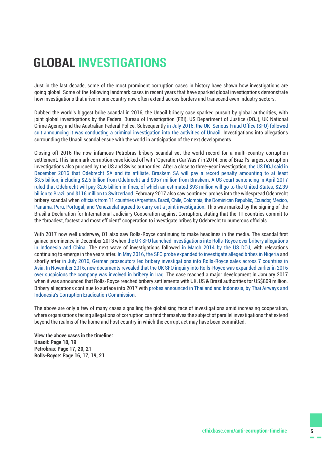## **GLOBAL INVESTIGATIONS**

Just in the last decade, some of the most prominent corruption cases in history have shown how investigations are going global. Some of the following landmark cases in recent years that have sparked global investigations demonstrate how investigations that arise in one country now often extend across borders and transcend even industry sectors.

Dubbed the world's biggest bribe scandal in 2016, the Unaoil bribery case sparked pursuit by global authorities, with joint global investigations by the Federal Bureau of Investigation (FBI), US Department of Justice (DOJ), UK National Crime Agency and the Australian Federal Police. Subsequently [in July 2016, the UK Serious Fraud Office \(SFO\) followed](https://www.sfo.gov.uk/2016/07/19/unaoil-investigation/)  [suit announcing it was conducting a criminal investigation into the activities of Unaoil.](https://www.sfo.gov.uk/2016/07/19/unaoil-investigation/) Investigations into allegations surrounding the Unaoil scandal ensue with the world in anticipation of the next developments.

Closing off 2016 the now infamous Petrobras bribery scandal set the world record for a multi-country corruption settlement. This landmark corruption case kicked off with 'Operation Car Wash' in 2014, one of Brazil's largest corruption investigations also pursued by the US and Swiss authorities. After a close to three-year investigation, [the US DOJ said in](http://www.reuters.com/article/us-brazil-corruption-usa-idUSKBN14A1QE)  [December 2016 that Odebrecht SA and its affiliate, Braskem SA will pay a record penalty amounting to at least](http://www.reuters.com/article/us-brazil-corruption-usa-idUSKBN14A1QE)  [\\$3.5 billion, including \\$2.6 billion from Odebrecht and \\$957 million from Braskem](http://www.reuters.com/article/us-brazil-corruption-usa-idUSKBN14A1QE). [A US court sentencing in April 2017](http://ethixbase.com/eanews/united-states-u-s-judge-approves-2-6-billion-fine-odebrecht-corruption-case/)  [ruled that Odebrecht will pay \\$2.6 billion in fines, of which an estimated \\$93 million will go to the United States, \\$2.39](http://ethixbase.com/eanews/united-states-u-s-judge-approves-2-6-billion-fine-odebrecht-corruption-case/)  [billion to Brazil and \\$116 million to Switzerland](http://ethixbase.com/eanews/united-states-u-s-judge-approves-2-6-billion-fine-odebrecht-corruption-case/). February 2017 also saw continued probes into the widespread Odebrecht bribery scandal when [officials from 11 countries \(Argentina, Brazil, Chile, Colombia, the Dominican Republic, Ecuador, Mexico,](http://ethixbase.com/eanews/world-eleven-countries-team-jointly-investigate-odebrecht-corruption/)  [Panama, Peru, Portugal, and Venezuela\) agreed to carry out a joint investigation](http://ethixbase.com/eanews/world-eleven-countries-team-jointly-investigate-odebrecht-corruption/). This was marked by the signing of the Brasilia Declaration for International Judiciary Cooperation against Corruption, stating that the 11 countries commit to the "broadest, fastest and most efficient" cooperation to investigate bribes by Odebrecht to numerous officials.

With 2017 now well underway, Q1 also saw Rolls-Royce continuing to make headlines in the media. The scandal first gained prominence in December 2013 when [the UK SFO launched investigations into Rolls-Royce over bribery allegations](https://www.theguardian.com/business/2013/dec/23/rolls-royce-sfo-bribery-corruption-investigation-indonesia)  [in Indonesia and China](https://www.theguardian.com/business/2013/dec/23/rolls-royce-sfo-bribery-corruption-investigation-indonesia). The next wave of investigations followed [in March 2014 by the US DOJ](http://www.telegraph.co.uk/finance/newsbysector/industry/10679362/Rolls-Royce-investigated-in-US-over-bribery-claims.html), with relevations continuing to emerge in the years after. [In May 2016, the SFO probe expanded to investigate](https://www.bloomberg.com/news/articles/2016-05-19/rolls-royce-corruption-probe-said-to-expand-to-nigeria-bribes) alleged bribes in Nigeria and shortly after [in](http://ethixbase.com/eanews/germany-rolls-royce-unit-mired-german-bribery-probe-asian-sales/) July [2016, German prosecutors led bribery investigations into Rolls-Royce sales across 7 countries in](http://ethixbase.com/eanews/germany-rolls-royce-unit-mired-german-bribery-probe-asian-sales/)  [Asia](http://ethixbase.com/eanews/germany-rolls-royce-unit-mired-german-bribery-probe-asian-sales/). [In November 2016, new documents revealed that the UK SFO inquiry into Rolls-Royce was expanded earlier in 2016](https://www.theguardian.com/uk-news/2016/nov/25/sfo-expands-rolls-royce-inquiry-over-iraq-bribery-allegations)  [over suspicions the company was involved in bribery in Iraq](https://www.theguardian.com/uk-news/2016/nov/25/sfo-expands-rolls-royce-inquiry-over-iraq-bribery-allegations). The case reached a major development in January 2017 when it was announced that Rolls-Royce reached bribery settlements with UK, US & Brazil authorities for US\$809 million. Bribery allegations continue to surface into 2017 with [probes announced in Thailand and Indonesia, by Thai Airways and](http://ethixbase.com/eanews/asia-thai-indonesian-probes-alleged-rolls-royce-graft/)  [Indonesia's Corruption Eradication Commission](http://ethixbase.com/eanews/asia-thai-indonesian-probes-alleged-rolls-royce-graft/).

The above are only a few of many cases signalling the globalising face of investigations amid increasing cooperation, where organisations facing allegations of corruption can find themselves the subject of parallel investigations that extend beyond the realms of the home and host country in which the corrupt act may have been committed.

**View the above cases in the timeline: Unaoil: Page [18](#page-17-0), [19](#page-18-0) Petrobras: Page [17](#page-16-0), [20](#page-19-0), [21](#page-20-0) Rolls-Royce: Page [16](#page-15-0), [17](#page-16-0), [19](#page-18-0), [21](#page-20-0)**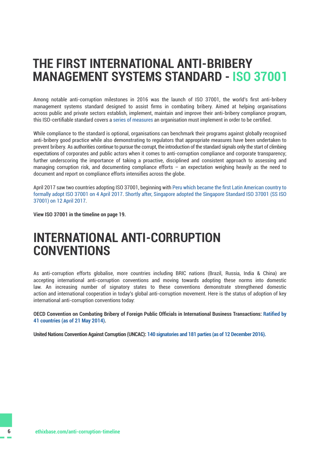### **THE FIRST INTERNATIONAL ANTI-BRIBERY MANAGEMENT SYSTEMS STANDARD - ISO 37001**

Among notable anti-corruption milestones in 2016 was the launch of ISO 37001, the world's first anti-bribery management systems standard designed to assist firms in combating bribery. Aimed at helping organisations across public and private sectors establish, implement, maintain and improve their anti-bribery compliance program, this ISO-certifiable standard covers a [series of measures](http://ethixbase.com/iso37001/) an organisation must implement in order to be certified.

While compliance to the standard is optional, organisations can benchmark their programs against globally recognised anti-bribery good practice while also demonstrating to regulators that appropriate measures have been undertaken to prevent bribery. As authorities continue to pursue the corrupt, the introduction of the standard signals only the start of climbing expectations of corporates and public actors when it comes to anti-corruption compliance and corporate transparency; further underscoring the importance of taking a proactive, disciplined and consistent approach to assessing and managing corruption risk, and documenting compliance efforts – an expectation weighing heavily as the need to document and report on compliance efforts intensifies across the globe.

April 2017 saw two countries adopting ISO 37001, beginning with [Peru which became the first Latin American country to](http://ethixbase.com/eanews/peru-peru-become-first-latam-country-implement-anti-bribery-system/)  [formally adopt ISO 37001 on 4 April 2017](http://ethixbase.com/eanews/peru-peru-become-first-latam-country-implement-anti-bribery-system/). [Shortly after, Singapore adopted the Singapore Standard ISO 37001 \(SS ISO](http://ethixbase.com/eanews/singapore-corruption-cases-hit-32-year-low-2016/)  [37001\) on 12 April 2017](http://ethixbase.com/eanews/singapore-corruption-cases-hit-32-year-low-2016/).

**View ISO 37001 in the timeline on [page](#page-18-0) [19](#page-18-0).**

### **INTERNATIONAL ANTI-CORRUPTION CONVENTIONS**

As anti-corruption efforts globalise, more countries including BRIC nations (Brazil, Russia, India & China) are accepting international anti-corruption conventions and moving towards adopting these norms into domestic law. An increasing number of signatory states to these conventions demonstrate strengthened domestic action and international cooperation in today's global anti-corruption movement. Here is the status of adoption of key international anti-corruption conventions today:

**OECD Convention on Combating Bribery of Foreign Public Officials in International Business Transactions: [Ratified by](http://www.oecd.org/corruption/oecdantibriberyconvention.htm)  [41 countries \(as of 21 May 2014\).](http://www.oecd.org/corruption/oecdantibriberyconvention.htm)** 

**United Nations Convention Against Corruption (UNCAC): [140 signatories and 181 parties \(as of 12 December 2016\)](https://www.unodc.org/unodc/en/treaties/CAC/signatories.html).**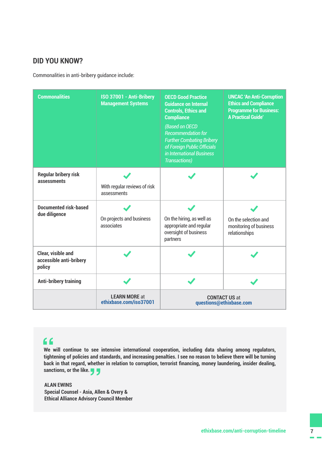### **DID YOU KNOW?**

Commonalities in anti-bribery guidance include:

| <b>Commonalities</b>                                           | ISO 37001 - Anti-Bribery<br><b>Management Systems</b> | <b>OECD Good Practice</b><br><b>Guidance on Internal</b><br><b>Controls, Ethics and</b><br><b>Compliance</b><br>(Based on OECD<br><b>Recommendation for</b><br><b>Further Combating Bribery</b><br>of Foreign Public Officials<br>in International Business<br><b>Transactions)</b> | <b>UNCAC 'An Anti-Corruption</b><br><b>Ethics and Compliance</b><br><b>Programme for Business:</b><br><b>A Practical Guide'</b> |
|----------------------------------------------------------------|-------------------------------------------------------|-------------------------------------------------------------------------------------------------------------------------------------------------------------------------------------------------------------------------------------------------------------------------------------|---------------------------------------------------------------------------------------------------------------------------------|
| <b>Regular bribery risk</b><br>assessments                     | With regular reviews of risk<br>assessments           |                                                                                                                                                                                                                                                                                     |                                                                                                                                 |
| Documented risk-based<br>due diligence                         | On projects and business<br>associates                | On the hiring, as well as<br>appropriate and regular<br>oversight of business<br>partners                                                                                                                                                                                           | On the selection and<br>monitoring of business<br>relationships                                                                 |
| <b>Clear, visible and</b><br>accessible anti-bribery<br>policy |                                                       |                                                                                                                                                                                                                                                                                     |                                                                                                                                 |
| <b>Anti-bribery training</b>                                   |                                                       |                                                                                                                                                                                                                                                                                     |                                                                                                                                 |
|                                                                | <b>LEARN MORE at</b><br>ethixbase.com/iso37001        | <b>CONTACT US at</b><br>questions@ethixbase.com                                                                                                                                                                                                                                     |                                                                                                                                 |

### **"**

**We will continue to see intensive international cooperation, including data sharing among regulators, tightening of policies and standards, and increasing penalties. I see no reason to believe there will be turning back in that regard, whether in relation to corruption, terrorist financing, money laundering, insider dealing, sanctions, or the like.** whethe<br> **3** 

**ALAN EWINS Special Counsel - Asia, Allen & Overy & Ethical Alliance Advisory Council Member**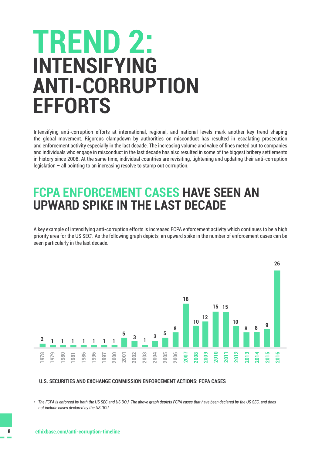## <span id="page-7-0"></span>**INTENSIFYING ANTI-CORRUPTION EFFORTS TREND 2:**

Intensifying anti-corruption efforts at international, regional, and national levels mark another key trend shaping the global movement. Rigorous clampdown by authorities on misconduct has resulted in escalating prosecution and enforcement activity especially in the last decade. The increasing volume and value of fines meted out to companies and individuals who engage in misconduct in the last decade has also resulted in some of the biggest bribery settlements in history since 2008. At the same time, individual countries are revisiting, tightening and updating their anti-corruption legislation – all pointing to an increasing resolve to stamp out corruption.

### **FCPA ENFORCEMENT CASES HAVE SEEN AN UPWARD SPIKE IN THE LAST DECADE**

A key example of intensifying anti-corruption efforts is increased FCPA enforcement activity which continues to be a high priority area for the US SEC\* . As the following graph depicts, an upward spike in the number of enforcement cases can be seen particularly in the last decade.



#### **U.S. SECURITIES AND EXCHANGE COMMISSION ENFORCEMENT ACTIONS: FCPA CASES**

*\* The FCPA is enforced by both the US SEC and US DOJ. The above graph depicts FCPA cases that have been declared by the US SEC, and does not include cases declared by the US DOJ.*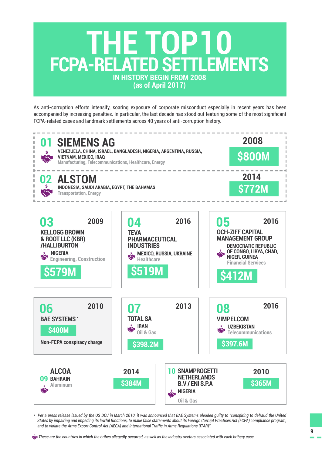## **IN HISTORY BEGIN FROM 2008 (as of April 2017) THE TOP10 FCPA-RELATED SETTLEMENTS**

As anti-corruption efforts intensify, soaring exposure of corporate misconduct especially in recent years has been accompanied by increasing penalties. In particular, the last decade has stood out featuring some of the most significant FCPA-related cases and landmark settlements across 40 years of anti-corruption history.



*\* Per a press release issued by the US DOJ in March 2010, it was announced that BAE Systems pleaded guilty to "conspiring to defraud the United States by impairing and impeding its lawful functions, to make false statements about its Foreign Corrupt Practices Act (FCPA) compliance program, and to violate the Arms Export Control Act (AECA) and International Traffic in Arms Regulations (ITAR)".*

 *These are the countries in which the bribes allegedly occurred, as well as the industry sectors associated with each bribery case.*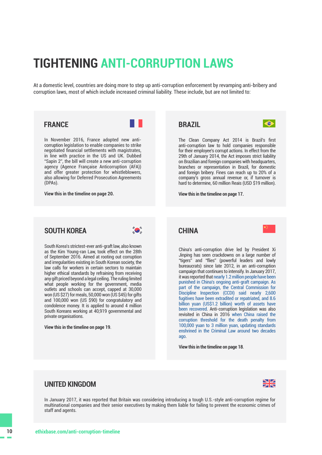## **TIGHTENING ANTI-CORRUPTION LAWS**

At a domestic level, countries are doing more to step up anti-corruption enforcement by revamping anti-bribery and corruption laws, most of which include increased criminal liability. These include, but are not limited to:

#### **FRANCE**

In November 2016, France adopted new anticorruption legislation to enable companies to strike negotiated financial settlements with magistrates, in line with practice in the US and UK. Dubbed "Sapin 2", the bill will create a new anti-corruption agency (Agence Française Anticorruption (AFA)) and offer greater protection for whistleblowers, also allowing for Deferred Prosecution Agreements (DPAs).

**View this in the timeline on [page 20](#page-19-0).**

### **BRAZIL**



The Clean Company Act 2014 is Brazil's first anti-corruption law to hold companies responsible for their employee's corrupt actions. In effect from the 29th of January 2014, the Act imposes strict liability on Brazilian and foreign companies with headquarters, branches or representation in Brazil, for domestic and foreign bribery. Fines can reach up to 20% of a company's gross annual revenue or, if turnover is hard to determine, 60 million Reais (USD \$19 million).

**View this in the timeline on [page 17.](#page-16-0)** 

### **SOUTH KOREA**



South Korea's strictest-ever anti-graft law, also known as the Kim Young-ran Law, took effect on the 28th of September 2016. Aimed at rooting out corruption and irregularities existing in South Korean society, the law calls for workers in certain sectors to maintain higher ethical standards by refraining from receiving any gift priced beyond a legal ceiling. The ruling limited what people working for the government, media outlets and schools can accept, capped at 30,000 won (US \$27) for meals, 50,000 won (US \$45) for gifts and 100,000 won (US \$90) for congratulatory and condolence money. It is applied to around 4 million South Koreans working at 40,919 governmental and private organisations.

**View this in the timeline on [page 19](#page-18-0)**.

#### **CHINA**



China's anti-corruption drive led by President Xi Jinping has seen crackdowns on a large number of "tigers" and "flies" (powerful leaders and lowly bureaucrats) since late 2012, in an anti-corruption campaign that continues to intensify. In January 2017, it was reported that [nearly 1.2 million people have been](http://www.businesstimes.com.sg/government-economy/china-graft-drive-has-punished-12m-watchdog)  [punished in China's ongoing anti-graft campaign. As](http://www.businesstimes.com.sg/government-economy/china-graft-drive-has-punished-12m-watchdog)  [part of the campaign, the Central Commission for](http://www.businesstimes.com.sg/government-economy/china-graft-drive-has-punished-12m-watchdog)  [Discipline Inspection \(CCDI\) said nearly 2,600](http://www.businesstimes.com.sg/government-economy/china-graft-drive-has-punished-12m-watchdog)  [fugitives have been extradited or repatriated, and 8.6](http://www.businesstimes.com.sg/government-economy/china-graft-drive-has-punished-12m-watchdog)  [billion yuan \(US\\$1.2 billion\) worth of assets have](http://www.businesstimes.com.sg/government-economy/china-graft-drive-has-punished-12m-watchdog)  [been recovered.](http://www.businesstimes.com.sg/government-economy/china-graft-drive-has-punished-12m-watchdog) Anti-corruption legislation was also revisited in China in 2016 [when China raised the](http://www.scmp.com/news/china/policies-politics/article/1936967/china-raises-corruption-threshold-death-penalty)  [corruption threshold for the death penalty from](http://www.scmp.com/news/china/policies-politics/article/1936967/china-raises-corruption-threshold-death-penalty)  [100,000 yuan to 3 million yuan, updating standards](http://www.scmp.com/news/china/policies-politics/article/1936967/china-raises-corruption-threshold-death-penalty)  [enshrined in the Criminal Law around two decades](http://www.scmp.com/news/china/policies-politics/article/1936967/china-raises-corruption-threshold-death-penalty)  [ago](http://www.scmp.com/news/china/policies-politics/article/1936967/china-raises-corruption-threshold-death-penalty).

**View this in the timeline on [page](#page-17-0) [18](#page-17-0)**.

### **UNITED KINGDOM**



In January 2017, it was reported that Britain was considering introducing a tough U.S.-style anti-corruption regime for multinational companies and their senior executives by making them liable for failing to prevent the economic crimes of staff and agents.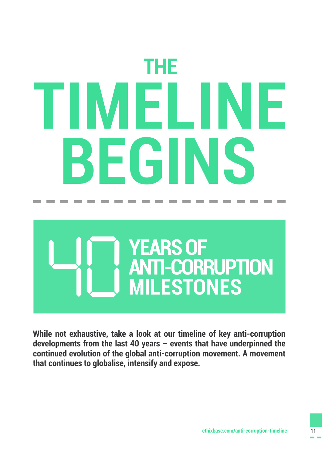# <span id="page-10-0"></span>**THE TIMELINE BEGINS**



**While not exhaustive, take a look at our timeline of key anti-corruption developments from the last 40 years – events that have underpinned the continued evolution of the global anti-corruption movement. A movement that continues to globalise, intensify and expose.**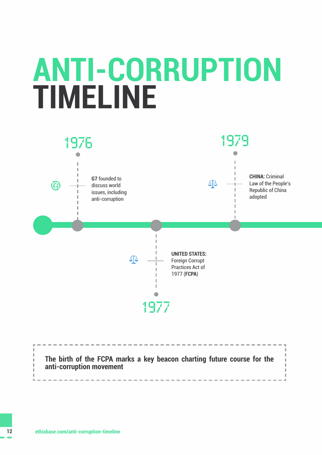## <span id="page-11-0"></span>**ANTI-CORRUPTION TIMELINE**



**The birth of the FCPA marks a key beacon charting future course for the anti-corruption movement**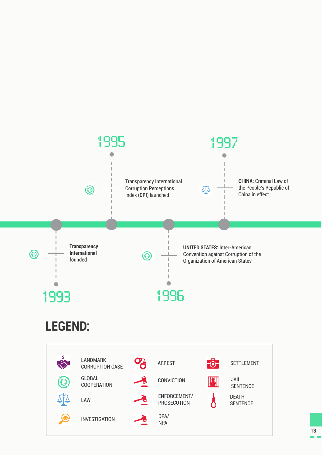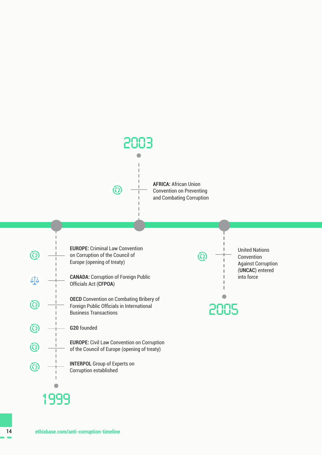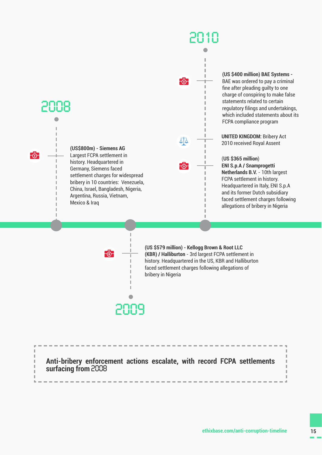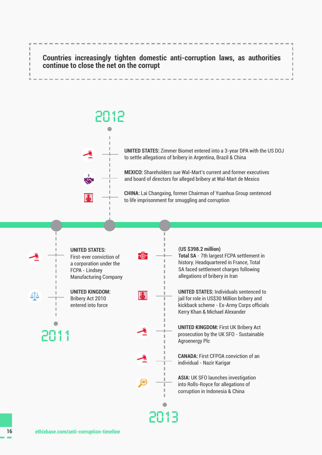<span id="page-15-0"></span>

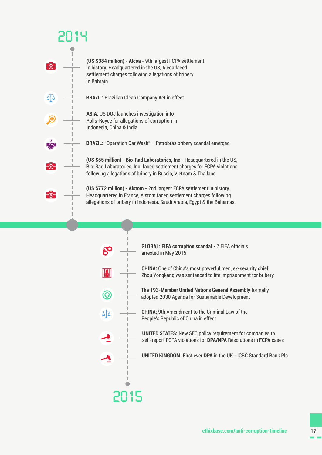### <span id="page-16-0"></span>**2014 (US \$384 million) - Alcoa -** 9th largest FCPA settlement F®in history. Headquartered in the US, Alcoa faced settlement charges following allegations of bribery in Bahrain ΔÎΔ **BRAZIL:** Brazilian Clean Company Act in effect **ASIA:** US DOJ launches investigation into O Rolls-Royce for allegations of corruption in Indonesia, China & India **BRAZIL:** "Operation Car Wash" – Petrobras bribery scandal emerged **(US \$55 million) - Bio-Rad Laboratories, Inc -** Headquartered in the US, F®F Bio-Rad Laboratories, Inc. faced settlement charges for FCPA violations following allegations of bribery in Russia, Vietnam & Thailand **(US \$772 million) - Alstom -** 2nd largest FCPA settlement in history. F®-Headquartered in France, Alstom faced settlement charges following allegations of bribery in Indonesia, Saudi Arabia, Egypt & the Bahamas

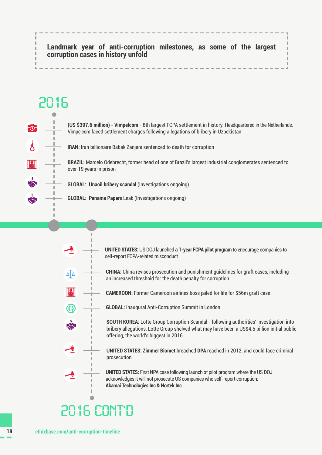### <span id="page-17-0"></span>**Landmark year of anti-corruption milestones, as some of the largest corruption cases in history unfold**



**(US \$397.6 million) - Vimpelcom** - 8th largest FCPA settlement in history. Headquartered in the Netherlands, Vimpelcom faced settlement charges following allegations of bribery in Uzbekistan

**IRAN:** Iran billionaire Babak Zanjani sentenced to death for corruption

**BRAZIL:** Marcelo Odebrecht, former head of one of Brazil's largest industrial conglomerates sentenced to over 19 years in prison

**GLOBAL: Unaoil bribery scandal** (Investigations ongoing)

**GLOBAL: Panama Papers** Leak (Investigations ongoing)

 $\mathbb{I}$ 

**UNITED STATES:** US DOJ launched **a 1-year FCPA pilot program** to encourage companies to self-report FCPA-related misconduct **CHINA:** China revises prosecution and punishment guidelines for graft cases, including ۵آ∆ an increased threshold for the death penalty for corruption וי זו **CAMEROON:** Former Cameroon airlines boss jailed for life for \$56m graft case Q **GLOBAL:** Inaugural Anti-Corruption Summit in London **SOUTH KOREA:** Lotte Group Corruption Scandal - following authorities' investigation into bribery allegations, Lotte Group shelved what may have been a US\$4.5 billion initial public offering, the world's biggest in 2016 **UNITED STATES: Zimmer Biomet** breached **DPA** reached in 2012, and could face criminal prosecution **UNITED STATES:** First NPA case following launch of pilot program where the US DOJ acknowledges it will not prosecute US companies who self-report corruption: **Akamai Technologies Inc & Nortek Inc 2016 cont'd**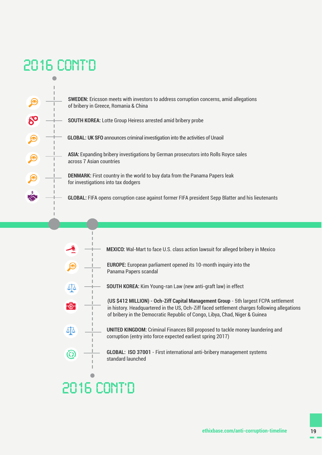## <span id="page-18-0"></span>**2016 cont'd**



**SWEDEN:** Ericsson meets with investors to address corruption concerns, amid allegations of bribery in Greece, Romania & China

**SOUTH KOREA:** Lotte Group Heiress arrested amid bribery probe

**GLOBAL: UK SFO** announces criminal investigation into the activities of Unaoil

**ASIA:** Expanding bribery investigations by German prosecutors into Rolls Royce sales across 7 Asian countries

**DENMARK:** First country in the world to buy data from the Panama Papers leak for investigations into tax dodgers

**GLOBAL:** FIFA opens corruption case against former FIFA president Sepp Blatter and his lieutenants

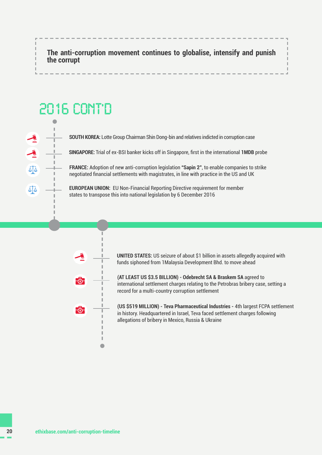<span id="page-19-0"></span>**The anti-corruption movement continues to globalise, intensify and punish the corrupt**

## **2016 CONT'D**

 $\bullet$ I.

513

44

**SOUTH KOREA:** Lotte Group Chairman Shin Dong-bin and relatives indicted in corruption case

**SINGAPORE:** Trial of ex-BSI banker kicks off in Singapore, first in the international **1MDB** probe

**FRANCE:** Adoption of new anti-corruption legislation **"Sapin 2"**, to enable companies to strike negotiated financial settlements with magistrates, in line with practice in the US and UK

**EUROPEAN UNION:** EU Non-Financial Reporting Directive requirement for member states to transpose this into national legislation by 6 December 2016



 $\blacksquare$ 

**UNITED STATES:** US seizure of about \$1 billion in assets allegedly acquired with funds siphoned from 1Malaysia Development Bhd. to move ahead

**(AT LEAST US \$3.5 BILLION) - Odebrecht SA & Braskem SA** agreed to international settlement charges relating to the Petrobras bribery case, setting a record for a multi-country corruption settlement

**(US \$519 MILLION) - Teva Pharmaceutical Industries -** 4th largest FCPA settlement in history. Headquartered in Israel, Teva faced settlement charges following allegations of bribery in Mexico, Russia & Ukraine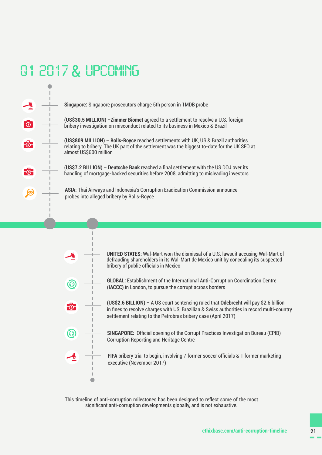## <span id="page-20-0"></span>**Q1 2017 & UPCOMING**

 $-6$ 

F®

<del>-</del> ඉ

|  | <b>Singapore:</b> Singapore prosecutors charge 5th person in 1MDB probe                                                                                                                                        |
|--|----------------------------------------------------------------------------------------------------------------------------------------------------------------------------------------------------------------|
|  | (US\$30.5 MILLION) - Zimmer Biomet agreed to a settlement to resolve a U.S. foreign<br>bribery investigation on misconduct related to its business in Mexico & Brazil                                          |
|  | (US\$809 MILLION) – Rolls-Royce reached settlements with UK, US & Brazil authorities<br>relating to bribery. The UK part of the settlement was the biggest to-date for the UK SFO at<br>almost US\$600 million |
|  | (US\$7.2 BILLION) - Deutsche Bank reached a final settlement with the US DOJ over its<br>handling of mortgage-backed securities before 2008, admitting to misleading investors                                 |
|  | <b>ASIA:</b> Thai Airways and Indonesia's Corruption Eradication Commission announce<br>probes into alleged bribery by Rolls-Royce                                                                             |
|  |                                                                                                                                                                                                                |



 $\sqrt{2}$ 

**UNITED STATES:** Wal-Mart won the dismissal of a U.S. lawsuit accusing Wal-Mart of defrauding shareholders in its Wal-Mart de Mexico unit by concealing its suspected bribery of public officials in Mexico

**GLOBAL:** Establishment of the International Anti-Corruption Coordination Centre **(IACCC)** in London, to pursue the corrupt across borders

**(US\$2.6 BILLION)** – A US court sentencing ruled that **Odebrecht** will pay \$2.6 billion in fines to resolve charges with US, Brazilian & Swiss authorities in record multi-country settlement relating to the Petrobras bribery case (April 2017)

**SINGAPORE:** Official opening of the Corrupt Practices Investigation Bureau (CPIB) Corruption Reporting and Heritage Centre

**FIFA** bribery trial to begin, involving 7 former soccer officials & 1 former marketing executive (November 2017)

This timeline of anti-corruption milestones has been designed to reflect some of the most significant anti-corruption developments globally, and is not exhaustive.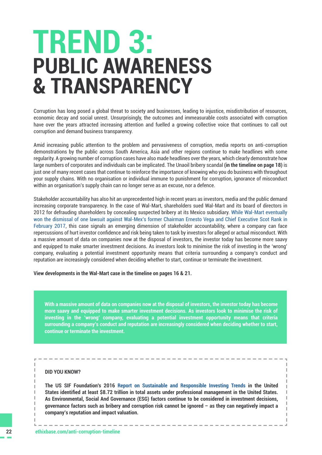## <span id="page-21-0"></span>**PUBLIC AWARENESS & TRANSPARENCY TREND 3:**

Corruption has long posed a global threat to society and businesses, leading to injustice, misdistribution of resources, economic decay and social unrest. Unsurprisingly, the outcomes and immeasurable costs associated with corruption have over the years attracted increasing attention and fuelled a growing collective voice that continues to call out corruption and demand business transparency.

Amid increasing public attention to the problem and pervasiveness of corruption, media reports on anti-corruption demonstrations by the public across South America, Asia and other regions continue to make headlines with some regularity. A growing number of corruption cases have also made headlines over the years, which clearly demonstrate how large numbers of corporates and individuals can be implicated. The Unaoil bribery scandal **(in the timeline on [page 18](#page-17-0))** is just one of many recent cases that continue to reinforce the importance of knowing who you do business with throughout your supply chains. With no organisation or individual immune to punishment for corruption, ignorance of misconduct within an organisation's supply chain can no longer serve as an excuse, nor a defence.

Stakeholder accountability has also hit an unprecedented high in recent years as investors, media and the public demand increasing corporate transparency. In the case of Wal-Mart, shareholders sued Wal-Mart and its board of directors in 2012 for defrauding shareholders by concealing suspected bribery at its Mexico subsidiary. [While Wal-Mart eventually](http://ethixbase.com/eanews/united-states-us-judge-dismisses-case-wal-mart-mexico-bribery/) [won the dismissal of one lawsuit against Wal-Mex's former Chairman Ernesto Vega and Chief Executive Scot Rank](http://ethixbase.com/eanews/united-states-us-judge-dismisses-case-wal-mart-mexico-bribery/) in February 2017, this case signals an emerging dimension of stakeholder accountability, where a company can face repercussions of hurt investor confidence and risk being taken to task by investors for alleged or actual misconduct. With a massive amount of data on companies now at the disposal of investors, the investor today has become more saavy and equipped to make smarter investment decisions. As investors look to minimise the risk of investing in the 'wrong' company, evaluating a potential investment opportunity means that criteria surrounding a company's conduct and reputation are increasingly considered when deciding whether to start, continue or terminate the investment.

**View developments in the Wal-Mart case in the timeline on pages [16](#page-15-0) & [21](#page-20-0).**

**With a massive amount of data on companies now at the disposal of investors, the investor today has become more saavy and equipped to make smarter investment decisions. As investors look to minimise the risk of investing in the 'wrong' company, evaluating a potential investment opportunity means that criteria surrounding a company's conduct and reputation are increasingly considered when deciding whether to start, continue or terminate the investment.** 

#### **DID YOU KNOW?**

**The US SIF Foundation's 2016 [Report on Sustainable and Responsible Investing Trends i](http://www.ussif.org/sribasics)n the United States identified at least \$8.72 trillion in total assets under professional management in the United States. As Environmental, Social And Governance (ESG) factors continue to be considered in investment decisions, governance factors such as bribery and corruption risk cannot be ignored – as they can negatively impact a company's reputation and impact valuation.**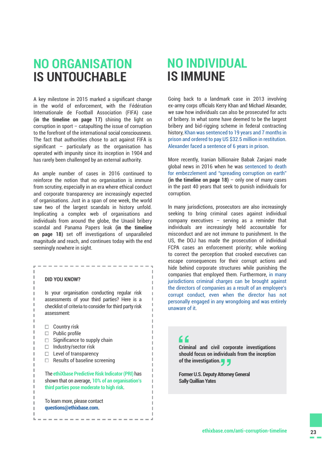### **NO ORGANISATION IS UNTOUCHABLE**

A key milestone in 2015 marked a significant change in the world of enforcement, with the Fédération Internationale de Football Association (FIFA) case **(in the timeline on [page 17](#page-16-0))** shining the light on corruption in sport – catapulting the issue of corruption to the forefront of the international social consciousness. The fact that authorities chose to act against FIFA is significant – particularly as the organisation has operated with impunity since its inception in 1904 and has rarely been challenged by an external authority.

An ample number of cases in 2016 continued to reinforce the notion that no organisation is immune from scrutiny, especially in an era where ethical conduct and corporate transparency are increasingly expected of organisations. Just in a span of one week, the world saw two of the largest scandals in history unfold. Implicating a complex web of organisations and individuals from around the globe, the Unaoil bribery scandal and Panama Papers leak **(in the timeline on [page 18\)](#page-17-0)** set off investigations of unparalleled magnitude and reach, and continues today with the end seemingly nowhere in sight.

#### **DID YOU KNOW?**

J. J.

Ï I J. f, I. Ì. J. J. J. I J. Ï J.

f, J. f, Ĭ. J. J. J. Ï

-----------

Is your organisation conducting regular risk assessments of your third parties? Here is a checklist of criteria to consider for third party risk assessment:

- $\Box$  Country risk
- $\Box$  Public profile
- $\Box$  Significance to supply chain
- $\Box$  Industry/sector risk
- $\Box$  Level of transparency
- $\Box$  Results of baseline screening

The **ethiXbase Predictive Risk Indicator (PRI)** has shown that on average, **10% of an organisation's third parties pose moderate to high risk**.

----------------------

To learn more, please contact **question[s@ethixbase.com](mailto:questions%40ethixbase.com?subject=).**

### **NO INDIVIDUAL IS IMMUNE**

Going back to a landmark case in 2013 involving ex-army corps officials Kerry Khan and Michael Alexander, we saw how individuals can also be prosecuted for acts of bribery. In what some have deemed to be the largest bribery and bid-rigging scheme in federal contracting history, [Khan was sentenced to 19 years and 7 months in](https://www.washingtonpost.com/local/ex--army-corps-official-sentenced-in-contracting-scheme-of-historic-proportions/2013/07/11/7d8ba21e-ea21-11e2-a301-ea5a8116d211_story.html)  [prison and ordered to pay US \\$32.5 million in restitution](https://www.washingtonpost.com/local/ex--army-corps-official-sentenced-in-contracting-scheme-of-historic-proportions/2013/07/11/7d8ba21e-ea21-11e2-a301-ea5a8116d211_story.html). [Alexander faced a sentence of 6 years in prison](https://archives.fbi.gov/archives/washingtondc/press-releases/2012/former-u.s.-army-corps-of-engineers-manager-sentenced-to-six-years-in-prison-in-bribery-and-kickback-scheme).

More recently, Iranian billionaire Babak Zanjani made global news in 2016 when he was [sentenced to death](http://ethixbase.com/eanews/iran-iran-billionaire-babak-zanjani-sentenced-to-death-for-corruption/)  [for embezzlement and "spreading corruption on earth"](http://ethixbase.com/eanews/iran-iran-billionaire-babak-zanjani-sentenced-to-death-for-corruption/) **(in the timeline on [page 18](#page-17-0))** – only one of many cases in the past 40 years that seek to punish individuals for corruption.

In many jurisdictions, prosecutors are also increasingly seeking to bring criminal cases against individual company executives – serving as a reminder that individuals are increasingly held accountable for misconduct and are not immune to punishment. In the US, the DOJ has made the prosecution of individual FCPA cases an enforcement priority; while working to correct the perception that crooked executives can escape consequences for their corrupt actions and hide behind corporate structures while punishing the companies that employed them. Furthermore, [in many](http://ethixbase.com/whitepaper-country-focus-singapore-anti-corruption-compliance-corporate-practices/)  [jurisdictions criminal charges can be brought against](http://ethixbase.com/whitepaper-country-focus-singapore-anti-corruption-compliance-corporate-practices/)  [the directors of companies as a result of an employee's](http://ethixbase.com/whitepaper-country-focus-singapore-anti-corruption-compliance-corporate-practices/)  [corrupt conduct, even when the director has not](http://ethixbase.com/whitepaper-country-focus-singapore-anti-corruption-compliance-corporate-practices/)  [personally engaged in any wrongdoing and was entirely](http://ethixbase.com/whitepaper-country-focus-singapore-anti-corruption-compliance-corporate-practices/)  [unaware of it.](http://ethixbase.com/whitepaper-country-focus-singapore-anti-corruption-compliance-corporate-practices/)

### **"**

 $\mathbb{R}$ 

×

×

**Criminal and civil corporate investigations should focus on individuals from the inception of the investigation.** lividua<br>. <mark>- J</mark><br>\ttorne

**Former U.S. Deputy Attorney General Sally Quillian Yates**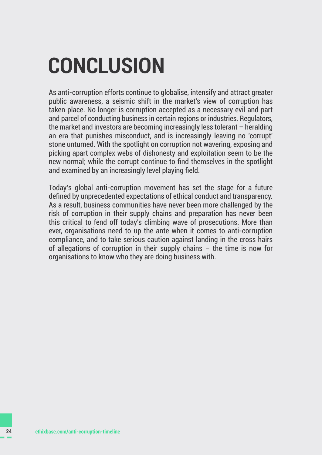## <span id="page-23-0"></span>**CONCLUSION**

As anti-corruption efforts continue to globalise, intensify and attract greater public awareness, a seismic shift in the market's view of corruption has taken place. No longer is corruption accepted as a necessary evil and part and parcel of conducting business in certain regions or industries. Regulators, the market and investors are becoming increasingly less tolerant – heralding an era that punishes misconduct, and is increasingly leaving no 'corrupt' stone unturned. With the spotlight on corruption not wavering, exposing and picking apart complex webs of dishonesty and exploitation seem to be the new normal; while the corrupt continue to find themselves in the spotlight and examined by an increasingly level playing field.

Today's global anti-corruption movement has set the stage for a future defined by unprecedented expectations of ethical conduct and transparency. As a result, business communities have never been more challenged by the risk of corruption in their supply chains and preparation has never been this critical to fend off today's climbing wave of prosecutions. More than ever, organisations need to up the ante when it comes to anti-corruption compliance, and to take serious caution against landing in the cross hairs of allegations of corruption in their supply chains – the time is now for organisations to know who they are doing business with.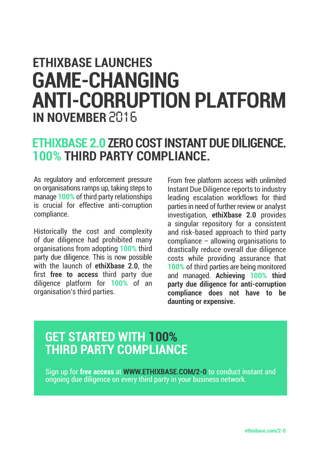## **ETHIXBASE LAUNCHES GAME-CHANGING ANTI-CORRUPTION PLATFORM IN NOVEMBER 2016**

### **ETHIXBASE 2.0 ZERO COST INSTANT DUE DILIGENCE. 100% THIRD PARTY COMPLIANCE.**

As regulatory and enforcement pressure on organisations ramps up, taking steps to manage **100%** of third party relationships is crucial for effective anti-corruption compliance.

Historically the cost and complexity of due diligence had prohibited many organisations from adopting **100%** third party due diligence. This is now possible with the launch of **[ethiXbase 2.0](http://ethiXbase.com/2-0)**, the first **free to access** third party due diligence platform for **100%** of an organisation's third parties.

From free platform access with unlimited Instant Due Diligence reports to industry leading escalation workflows for third parties in need of further review or analyst investigation, **[ethiXbase 2.0](http://ethiXbase.com/2-0)** provides a singular repository for a consistent and risk-based approach to third party compliance – allowing organisations to drastically reduce overall due diligence costs while providing assurance that **100%** of third parties are being monitored and managed. **Achieving 100% third party due diligence for anti-corruption compliance does not have to be daunting or expensive.**

### **GET STARTED WITH 100% THIRD PARTY COMPLIANCE**

Sign up for **free access** at **[WWW.ETHIXBASE.COM/2-0](http://WWW.ETHIXBASE.COM/2-0)** to conduct instant and ongoing due diligence on every third party in your business network.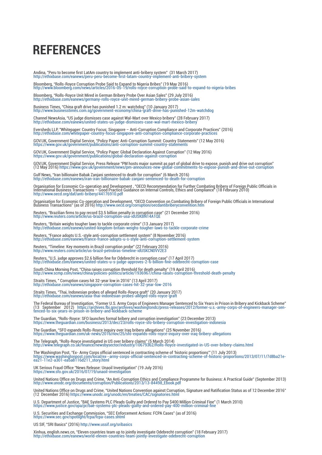## **REFERENCES**

Andina, "Peru to become first LatAm country to implement anti-bribery system" (31 March 2017)

http://ethixbase.com/eanews/peru-peru-become-first-latam-country-implement-anti-bribery-system

Bloomberg, "Rolls-Royce Corruption Probe Said to Expand to Nigeria Bribes" (19 May 2016) http://www.bloomberg.com/news/articles/2016-05-19/rolls-royce-corruption-probe-said-to-expand-to-nigeria-bribes

Bloomberg, "Rolls-Royce Unit Mired in German Bribery Probe Over Asian Sales" (29 July 2016) http://ethixbase.com/eanews/germany-rolls-royce-unit-mired-german-bribery-probe-asian-sales

Business Times, "China graft drive has punished 1.2 m: watchdog" (10 January 2017) http://www.businesstimes.com.sg/government-economy/china-graft-drive-has-punished-12m-watchdog

Channel NewsAsia, "US judge dismisses case against Wal-Mart over Mexico bribery" (28 February 2017) http://ethixbase.com/eanews/united-states-us-judge-dismisses-case-wal-mart-mexico-bribery

Eversheds LLP, "Whitepaper: Country Focus: Singapore – Anti-Corruption Compliance and Corporate Practices" (2016)<br>http://ethixbase.com/whitepaper-country-focus-singapore-anti-corruption-compliance-corporate-practices

GOV.UK, Government Digital Service, "Policy Paper: Anti-Corruption Summit: Country Statements" (12 May 2016)<br>https://www.gov.uk/government/publications/anti-corruption-summit-country-statements

GOV.UK, Government Digital Service, "Policy Paper: Global Declaration Against Corruption" (12 May 2016)<br>https://www.gov.uk/government/publications/global-declaration-against-corruption

GOV.UK, Government Digital Service, Press Release "PM hosts major summit as part of global drive to expose, punish and drive out corruption" (12 May 2016) https://www.gov.uk/government/news/pm-announces-new-global-commitments-to-expose-punish-and-drive-out-corruption

Gulf News, "Iran billionaire Babak Zanjani sentenced to death for corruption" (6 March 2016) http://ethixbase.com/eanews/iran-iran-billionaire-babak-zanjani-sentenced-to-death-for-corruption

Organisation for Economic Co-operation and Development , "OECD Recommendation for Further Combating Bribery of Foreign Public Officials in<br>International Business Transactions – Good Practice Guidance on Internal Controls,

Organisation for Economic Co-operation and Development, "OECD Convention on Combating Bribery of Foreign Public Officials in International<br>Business Transactions" (as of 2016) http://www.oecd.org/corruption/oecdantibriberyc

Reuters, "Brazilian firms to pay record \$3.5 billion penalty in corruption case" (21 December 2016) http://www.reuters.com/article/us-brazil-corruption-usa-idUSKBN14A1QE

Reuters, "Britain weighs tougher laws to tackle corporate crime" (13 January 2017) http://ethixbase.com/eanews/united-kingdom-britain-weighs-tougher-laws-to-tackle-corporate-crime

Reuters, "France adopts U.S.-style anti-corruption settlement system" (8 November 2016) http://ethixbase.com/eanews/france-france-adopts-u-s-style-anti-corruption-settlement-system

Reuters, "Timeline: Key moments in Brazil corruption probe" (22 February 2016) http://www.reuters.com/article/us-brazil-petrobras-timeline-idUSKCN0VV2E3

Reuters, "U.S. judge approves \$2.6 billion fine for Odebrecht in corruption case" (17 April 2017) http://ethixbase.com/eanews/united-states-u-s-judge-approves-2-6-billion-fine-odebrecht-corruption-case

South China Morning Post, "China raises corruption threshold for death penalty" (19 April 2016) http://www.scmp.com/news/china/policies-politics/article/1936967/china-raises-corruption-threshold-death-penalty

Straits Times, " Corruption cases hit 32-year low in 2016" (13 April 2017) http://ethixbase.com/eanews/singapore-corruption-cases-hit-32-year-low-2016

Straits Times, "Thai, Indonesian probes of alleged Rolls-Royce graft" (20 January 2017) http://ethixbase.com/eanews/asia-thai-indonesian-probes-alleged-rolls-royce-graft

The Federal Bureau of Investigation, "Former U.S. Army Corps of Engineers Manager Sentenced to Six Years in Prison in Bribery and Kickback Scheme"<br>(13 September 2012) https://archives.fbi.gov/archives/washingtondc

The Guardian, "Rolls-Royce: SFO launches formal bribery and corruption investigation" (23 December 2013) https://www.theguardian.com/business/2013/dec/23/rolls-royce-sfo-bribery-corruption-investigation-indonesia

The Guardian, "SFO expands Rolls-Royce inquiry over Iraq bribery allegations" (25 November 2016) https://www.theguardian.com/uk-news/2016/nov/25/sfo-expands-rolls-royce-inquiry-over-iraq-bribery-allegations

The Telegraph, "Rolls-Royce investigated in US over bribery claims" (5 March 2014)<br>http://www.telegraph.co.uk/finance/newsbysector/industry/10679362/Rolls-Royce-investigated-in-US-over-bribery-claims.html

The Washington Post, "Ex- Army Corps official sentenced in contracting scheme of 'historic proportions'" (11 July 2013)<br>https://www.washingtonpost.com/local/ex--army-corps-official-sentenced-in-contracting-scheme-of-histor

UK Serious Fraud Office "News Release: Unaoil Investigation" (19 July 2016) https://www.sfo.gov.uk/2016/07/19/unaoil-investigation

United Nations Office on Drugs and Crime, "An Anti-Corruption Ethics and Compliance Programme for Business: A Practical Guide" (September 2013)<br>http://www.unodc.org/documents/corruption/Publications/2013/13-84498\_Ebook.pdf

United Nations Office on Drugs and Crime, "United Nations Convention against Corruption, Signature and Ratification Status as of 12 December 2016"<br>(12 December 2016) https://www.unodc.org/unodc/en/treaties/CAC/signatories

U.S. Department of Justice, "BAE Systems PLC Pleads Guilty and Ordered to Pay \$400 Million Criminal Fine" (1 March 2010)<br>https://www.justice.gov/opa/pr/bae-systems-plc-pleads-guilty-and-ordered-pay-400-million-criminal-fin

U.S. Securities and Exchange Commission, "SEC Enforcement Actions: FCPA Cases" (as of 2016) https://www.sec.gov/spotlight/fcpa/fcpa-cases.shtml

US SIF, "SRI Basics" (2016) http://www.ussif.org/sribasics

Xinhua, english.news.cn, "Eleven countries team up to jointly investigate Odebrecht corruption" (18 February 2017) http://ethixbase.com/eanews/world-eleven-countries-team-jointly-investigate-odebrecht-corruption